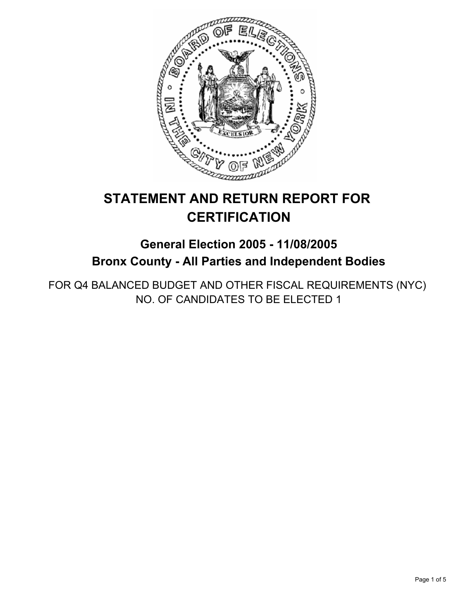

# **STATEMENT AND RETURN REPORT FOR CERTIFICATION**

## **General Election 2005 - 11/08/2005 Bronx County - All Parties and Independent Bodies**

FOR Q4 BALANCED BUDGET AND OTHER FISCAL REQUIREMENTS (NYC) NO. OF CANDIDATES TO BE ELECTED 1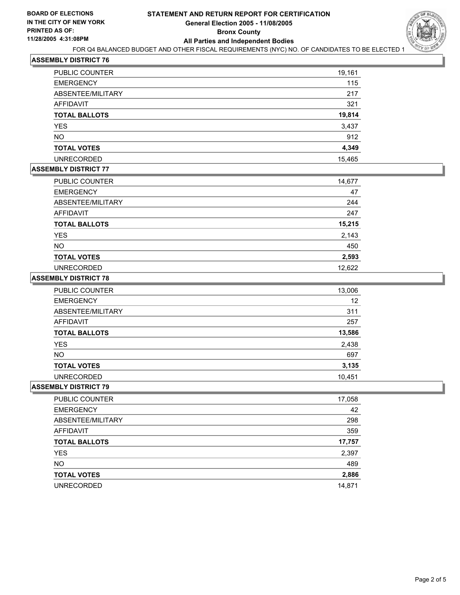

## **ASSEMBLY DISTRICT 76**

| <b>PUBLIC COUNTER</b> | 19,161 |
|-----------------------|--------|
| <b>EMERGENCY</b>      | 115    |
| ABSENTEE/MILITARY     | 217    |
| AFFIDAVIT             | 321    |
| <b>TOTAL BALLOTS</b>  | 19,814 |
| <b>YES</b>            | 3,437  |
| <b>NO</b>             | 912    |
| <b>TOTAL VOTES</b>    | 4,349  |
| <b>UNRECORDED</b>     | 15,465 |

## **ASSEMBLY DISTRICT 77**

| PUBLIC COUNTER       | 14,677 |
|----------------------|--------|
| <b>EMERGENCY</b>     | 47     |
| ABSENTEE/MILITARY    | 244    |
| <b>AFFIDAVIT</b>     | 247    |
| <b>TOTAL BALLOTS</b> | 15,215 |
| <b>YES</b>           | 2,143  |
| <b>NO</b>            | 450    |
| <b>TOTAL VOTES</b>   | 2,593  |
| <b>UNRECORDED</b>    | 12,622 |

#### **ASSEMBLY DISTRICT 78**

| PUBLIC COUNTER       | 13,006 |
|----------------------|--------|
| <b>EMERGENCY</b>     | 12     |
| ABSENTEE/MILITARY    | 311    |
| AFFIDAVIT            | 257    |
| <b>TOTAL BALLOTS</b> | 13,586 |
| <b>YES</b>           | 2,438  |
| <b>NO</b>            | 697    |
| <b>TOTAL VOTES</b>   | 3,135  |
| <b>UNRECORDED</b>    | 10,451 |

#### **ASSEMBLY DISTRICT 79**

| 17,058 |
|--------|
| 42     |
| 298    |
| 359    |
| 17,757 |
| 2,397  |
| 489    |
| 2,886  |
| 14,871 |
|        |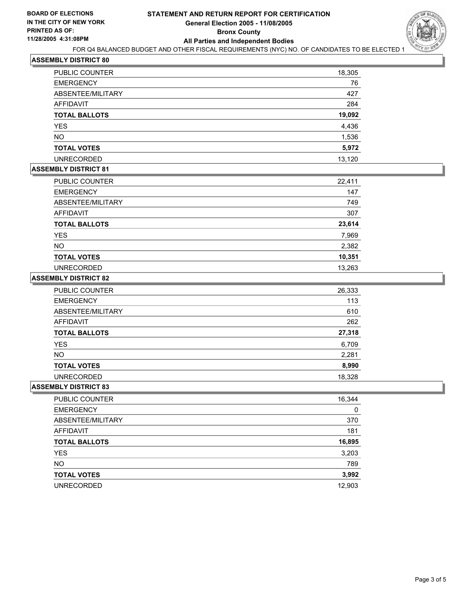

### **ASSEMBLY DISTRICT 80**

| PUBLIC COUNTER       | 18,305 |
|----------------------|--------|
| <b>EMERGENCY</b>     | 76     |
| ABSENTEE/MILITARY    | 427    |
| AFFIDAVIT            | 284    |
| <b>TOTAL BALLOTS</b> | 19,092 |
| YES                  | 4,436  |
| <b>NO</b>            | 1,536  |
| <b>TOTAL VOTES</b>   | 5,972  |
| <b>UNRECORDED</b>    | 13.120 |

## **ASSEMBLY DISTRICT 81**

| PUBLIC COUNTER       | 22,411 |
|----------------------|--------|
| <b>EMERGENCY</b>     | 147    |
| ABSENTEE/MILITARY    | 749    |
| <b>AFFIDAVIT</b>     | 307    |
| <b>TOTAL BALLOTS</b> | 23,614 |
| <b>YES</b>           | 7,969  |
| <b>NO</b>            | 2,382  |
| <b>TOTAL VOTES</b>   | 10,351 |
| <b>UNRECORDED</b>    | 13,263 |

#### **ASSEMBLY DISTRICT 82**

| PUBLIC COUNTER       | 26,333 |
|----------------------|--------|
| <b>EMERGENCY</b>     | 113    |
| ABSENTEE/MILITARY    | 610    |
| AFFIDAVIT            | 262    |
| <b>TOTAL BALLOTS</b> | 27,318 |
| <b>YES</b>           | 6,709  |
| <b>NO</b>            | 2,281  |
| <b>TOTAL VOTES</b>   | 8,990  |
| <b>UNRECORDED</b>    | 18,328 |

#### **ASSEMBLY DISTRICT 83**

| PUBLIC COUNTER       | 16,344 |
|----------------------|--------|
| <b>EMERGENCY</b>     | 0      |
| ABSENTEE/MILITARY    | 370    |
| AFFIDAVIT            | 181    |
| <b>TOTAL BALLOTS</b> | 16,895 |
| <b>YES</b>           | 3,203  |
| <b>NO</b>            | 789    |
| <b>TOTAL VOTES</b>   | 3,992  |
| <b>UNRECORDED</b>    | 12,903 |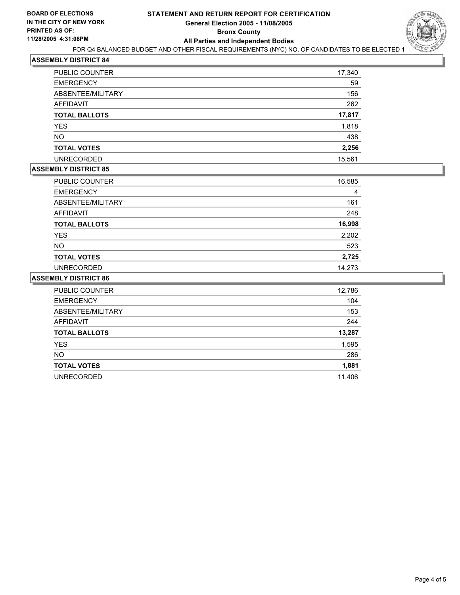

#### **ASSEMBLY DISTRICT 84**

| <b>PUBLIC COUNTER</b> | 17,340 |
|-----------------------|--------|
| <b>EMERGENCY</b>      | 59     |
| ABSENTEE/MILITARY     | 156    |
| <b>AFFIDAVIT</b>      | 262    |
| <b>TOTAL BALLOTS</b>  | 17,817 |
| <b>YES</b>            | 1,818  |
| <b>NO</b>             | 438    |
| <b>TOTAL VOTES</b>    | 2,256  |
| <b>UNRECORDED</b>     | 15,561 |

## **ASSEMBLY DISTRICT 85**

| PUBLIC COUNTER       | 16,585 |  |
|----------------------|--------|--|
| <b>EMERGENCY</b>     | 4      |  |
| ABSENTEE/MILITARY    | 161    |  |
| <b>AFFIDAVIT</b>     | 248    |  |
| <b>TOTAL BALLOTS</b> | 16,998 |  |
| YES                  | 2,202  |  |
| <b>NO</b>            | 523    |  |
| <b>TOTAL VOTES</b>   | 2,725  |  |
| <b>UNRECORDED</b>    | 14,273 |  |

#### **ASSEMBLY DISTRICT 86**

| PUBLIC COUNTER       | 12,786 |
|----------------------|--------|
| <b>EMERGENCY</b>     | 104    |
| ABSENTEE/MILITARY    | 153    |
| <b>AFFIDAVIT</b>     | 244    |
| <b>TOTAL BALLOTS</b> | 13,287 |
| <b>YES</b>           | 1,595  |
| <b>NO</b>            | 286    |
| <b>TOTAL VOTES</b>   | 1,881  |
| <b>UNRECORDED</b>    | 11,406 |